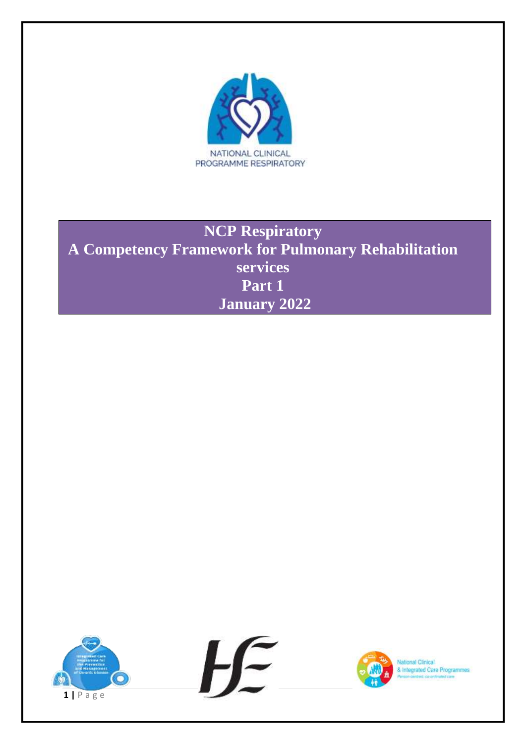

# **NCP Respiratory A Competency Framework for Pulmonary Rehabilitation services Part 1 January 2022**



& Integrated Care Programmes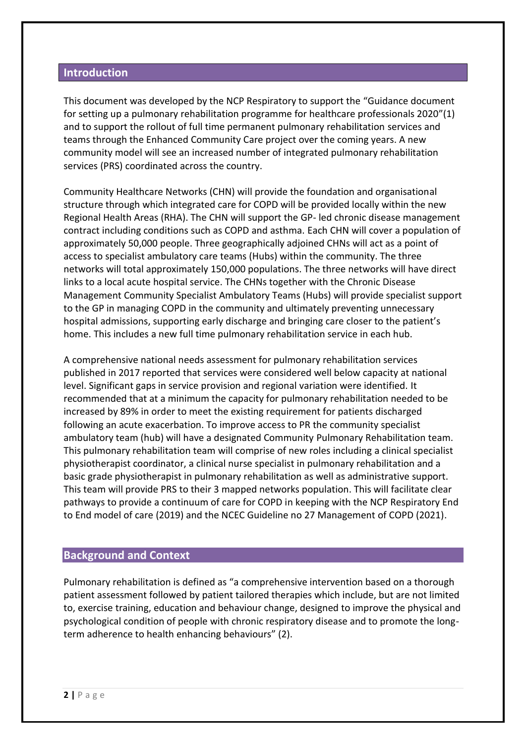# **Introduction**

This document was developed by the NCP Respiratory to support the "Guidance document for setting up a pulmonary rehabilitation programme for healthcare professionals 2020"(1) and to support the rollout of full time permanent pulmonary rehabilitation services and teams through the Enhanced Community Care project over the coming years. A new community model will see an increased number of integrated pulmonary rehabilitation services (PRS) coordinated across the country.

Community Healthcare Networks (CHN) will provide the foundation and organisational structure through which integrated care for COPD will be provided locally within the new Regional Health Areas (RHA). The CHN will support the GP- led chronic disease management contract including conditions such as COPD and asthma. Each CHN will cover a population of approximately 50,000 people. Three geographically adjoined CHNs will act as a point of access to specialist ambulatory care teams (Hubs) within the community. The three networks will total approximately 150,000 populations. The three networks will have direct links to a local acute hospital service. The CHNs together with the Chronic Disease Management Community Specialist Ambulatory Teams (Hubs) will provide specialist support to the GP in managing COPD in the community and ultimately preventing unnecessary hospital admissions, supporting early discharge and bringing care closer to the patient's home. This includes a new full time pulmonary rehabilitation service in each hub.

A comprehensive national needs assessment for pulmonary rehabilitation services published in 2017 reported that services were considered well below capacity at national level. Significant gaps in service provision and regional variation were identified. It recommended that at a minimum the capacity for pulmonary rehabilitation needed to be increased by 89% in order to meet the existing requirement for patients discharged following an acute exacerbation. To improve access to PR the community specialist ambulatory team (hub) will have a designated Community Pulmonary Rehabilitation team. This pulmonary rehabilitation team will comprise of new roles including a clinical specialist physiotherapist coordinator, a clinical nurse specialist in pulmonary rehabilitation and a basic grade physiotherapist in pulmonary rehabilitation as well as administrative support. This team will provide PRS to their 3 mapped networks population. This will facilitate clear pathways to provide a continuum of care for COPD in keeping with the NCP Respiratory End to End model of care (2019) and the NCEC Guideline no 27 Management of COPD (2021).

# **Background and Context**

Pulmonary rehabilitation is defined as "a comprehensive intervention based on a thorough patient assessment followed by patient tailored therapies which include, but are not limited to, exercise training, education and behaviour change, designed to improve the physical and psychological condition of people with chronic respiratory disease and to promote the longterm adherence to health enhancing behaviours" (2).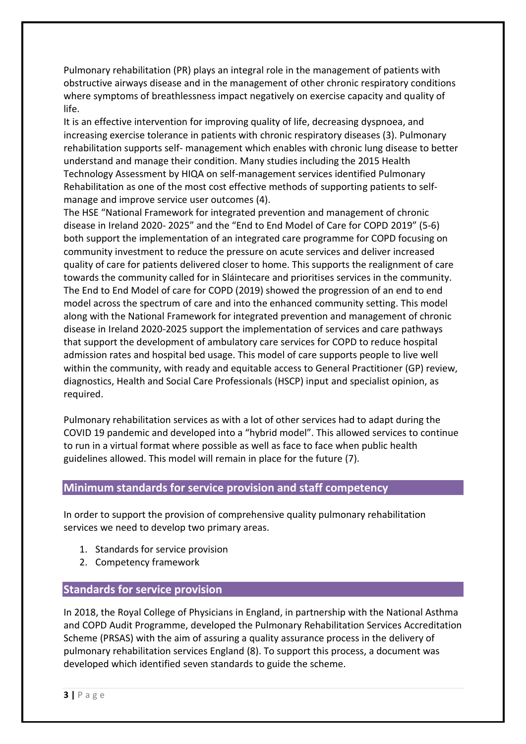Pulmonary rehabilitation (PR) plays an integral role in the management of patients with obstructive airways disease and in the management of other chronic respiratory conditions where symptoms of breathlessness impact negatively on exercise capacity and quality of life.

It is an effective intervention for improving quality of life, decreasing dyspnoea, and increasing exercise tolerance in patients with chronic respiratory diseases (3). Pulmonary rehabilitation supports self- management which enables with chronic lung disease to better understand and manage their condition. Many studies including the 2015 Health Technology Assessment by HIQA on self-management services identified Pulmonary Rehabilitation as one of the most cost effective methods of supporting patients to selfmanage and improve service user outcomes (4).

The HSE "National Framework for integrated prevention and management of chronic disease in Ireland 2020- 2025" and the "End to End Model of Care for COPD 2019" (5-6) both support the implementation of an integrated care programme for COPD focusing on community investment to reduce the pressure on acute services and deliver increased quality of care for patients delivered closer to home. This supports the realignment of care towards the community called for in Sláintecare and prioritises services in the community. The End to End Model of care for COPD (2019) showed the progression of an end to end model across the spectrum of care and into the enhanced community setting. This model along with the National Framework for integrated prevention and management of chronic disease in Ireland 2020-2025 support the implementation of services and care pathways that support the development of ambulatory care services for COPD to reduce hospital admission rates and hospital bed usage. This model of care supports people to live well within the community, with ready and equitable access to General Practitioner (GP) review, diagnostics, Health and Social Care Professionals (HSCP) input and specialist opinion, as required.

Pulmonary rehabilitation services as with a lot of other services had to adapt during the COVID 19 pandemic and developed into a "hybrid model". This allowed services to continue to run in a virtual format where possible as well as face to face when public health guidelines allowed. This model will remain in place for the future (7).

# **Minimum standards for service provision and staff competency**

In order to support the provision of comprehensive quality pulmonary rehabilitation services we need to develop two primary areas.

- 1. Standards for service provision
- 2. Competency framework

# **Standards for service provision**

In 2018, the Royal College of Physicians in England, in partnership with the National Asthma and COPD Audit Programme, developed the Pulmonary Rehabilitation Services Accreditation Scheme (PRSAS) with the aim of assuring a quality assurance process in the delivery of pulmonary rehabilitation services England (8). To support this process, a document was developed which identified seven standards to guide the scheme.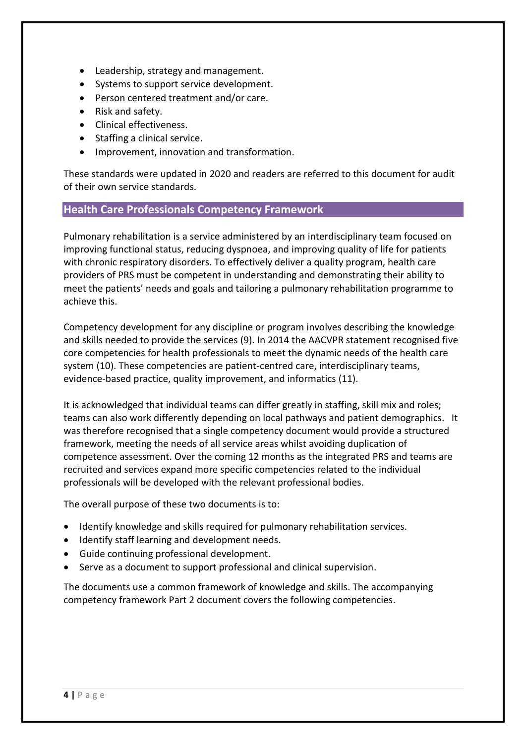- Leadership, strategy and management.
- Systems to support service development.
- Person centered treatment and/or care.
- Risk and safety.
- Clinical effectiveness.
- Staffing a clinical service.
- Improvement, innovation and transformation.

These standards were updated in [2020](https://www.nice.org.uk/guidance/qs10/chapter/Quality-statement-4-Pulmonary-rehabilitation-for-stable-COPD-and-exercise-limitation) and readers are referred to this document for audit of their own service standards.

# **Health Care Professionals Competency Framework**

Pulmonary rehabilitation is a service administered by an interdisciplinary team focused on improving functional status, reducing dyspnoea, and improving quality of life for patients with chronic respiratory disorders. To effectively deliver a quality program, health care providers of PRS must be competent in understanding and demonstrating their ability to meet the patients' needs and goals and tailoring a pulmonary rehabilitation programme to achieve this.

Competency development for any discipline or program involves describing the knowledge and skills needed to provide the services (9). In 2014 the AACVPR statement recognised five core competencies for health professionals to meet the dynamic needs of the health care system (10). These competencies are patient-centred care, interdisciplinary teams, evidence-based practice, quality improvement, and informatics (11).

It is acknowledged that individual teams can differ greatly in staffing, skill mix and roles; teams can also work differently depending on local pathways and patient demographics. It was therefore recognised that a single competency document would provide a structured framework, meeting the needs of all service areas whilst avoiding duplication of competence assessment. Over the coming 12 months as the integrated PRS and teams are recruited and services expand more specific competencies related to the individual professionals will be developed with the relevant professional bodies.

The overall purpose of these two documents is to:

- Identify knowledge and skills required for pulmonary rehabilitation services.
- $\bullet$  Identify staff learning and development needs.
- Guide continuing professional development.
- Serve as a document to support professional and clinical supervision.

The documents use a common framework of knowledge and skills. The accompanying competency framework Part 2 document covers the following competencies.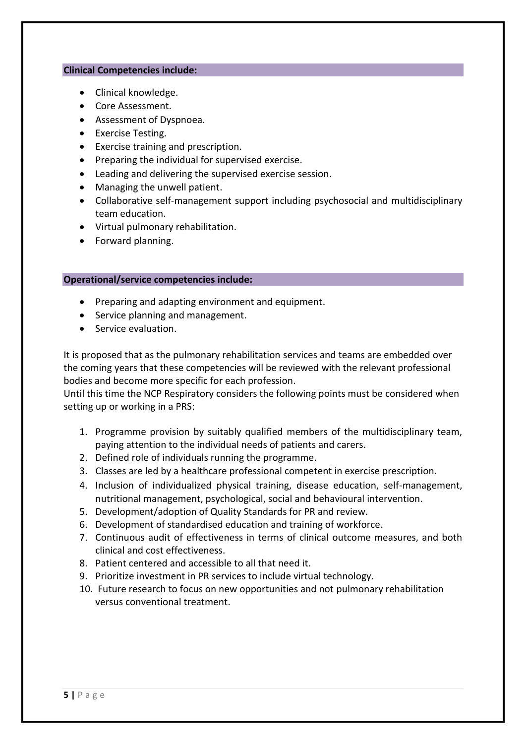#### **Clinical Competencies include:**

- Clinical knowledge.
- Core Assessment.
- Assessment of Dyspnoea.
- Exercise Testing.
- Exercise training and prescription.
- Preparing the individual for supervised exercise.
- Leading and delivering the supervised exercise session.
- Managing the unwell patient.
- Collaborative self-management support including psychosocial and multidisciplinary team education.
- Virtual pulmonary rehabilitation.
- Forward planning.

#### **Operational/service competencies include:**

- Preparing and adapting environment and equipment.
- Service planning and management.
- Service evaluation.

It is proposed that as the pulmonary rehabilitation services and teams are embedded over the coming years that these competencies will be reviewed with the relevant professional bodies and become more specific for each profession.

Until this time the NCP Respiratory considers the following points must be considered when setting up or working in a PRS:

- 1. Programme provision by suitably qualified members of the multidisciplinary team, paying attention to the individual needs of patients and carers.
- 2. Defined role of individuals running the programme.
- 3. Classes are led by a healthcare professional competent in exercise prescription.
- 4. Inclusion of individualized physical training, disease education, self-management, nutritional management, psychological, social and behavioural intervention.
- 5. Development/adoption of Quality Standards for PR and review.
- 6. Development of standardised education and training of workforce.
- 7. Continuous audit of effectiveness in terms of clinical outcome measures, and both clinical and cost effectiveness.
- 8. Patient centered and accessible to all that need it.
- 9. Prioritize investment in PR services to include virtual technology.
- 10. Future research to focus on new opportunities and not pulmonary rehabilitation versus conventional treatment.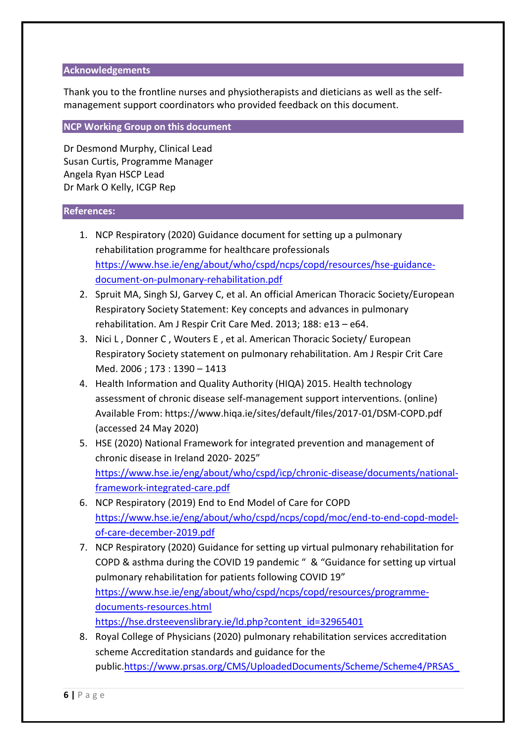### **Acknowledgements**

Thank you to the frontline nurses and physiotherapists and dieticians as well as the selfmanagement support coordinators who provided feedback on this document.

# **NCP Working Group on this document**

Dr Desmond Murphy, Clinical Lead Susan Curtis, Programme Manager Angela Ryan HSCP Lead Dr Mark O Kelly, ICGP Rep

# **References:**

- 1. NCP Respiratory (2020) Guidance document for setting up a pulmonary rehabilitation programme for healthcare professionals [https://www.hse.ie/eng/about/who/cspd/ncps/copd/resources/hse-guidance](https://www.hse.ie/eng/about/who/cspd/ncps/copd/resources/hse-guidance-document-on-pulmonary-rehabilitation.pdf)[document-on-pulmonary-rehabilitation.pdf](https://www.hse.ie/eng/about/who/cspd/ncps/copd/resources/hse-guidance-document-on-pulmonary-rehabilitation.pdf)
- 2. Spruit MA, Singh SJ, Garvey C, et al. An official American Thoracic Society/European Respiratory Society Statement: Key concepts and advances in pulmonary rehabilitation. Am J Respir Crit Care Med. 2013; 188: e13 – e64.
- 3. Nici L , Donner C , Wouters E , et al. American Thoracic Society/ European Respiratory Society statement on pulmonary rehabilitation. Am J Respir Crit Care Med. 2006 ; 173 : 1390 – 1413
- 4. Health Information and Quality Authority (HIQA) 2015. Health technology assessment of chronic disease self-management support interventions. (online) Available From: https://www.hiqa.ie/sites/default/files/2017-01/DSM-COPD.pdf (accessed 24 May 2020)
- 5. HSE (2020) National Framework for integrated prevention and management of chronic disease in Ireland 2020- 2025" [https://www.hse.ie/eng/about/who/cspd/icp/chronic-disease/documents/national](https://www.hse.ie/eng/about/who/cspd/icp/chronic-disease/documents/national-framework-integrated-care.pdf)[framework-integrated-care.pdf](https://www.hse.ie/eng/about/who/cspd/icp/chronic-disease/documents/national-framework-integrated-care.pdf)
- 6. NCP Respiratory (2019) End to End Model of Care for COPD [https://www.hse.ie/eng/about/who/cspd/ncps/copd/moc/end-to-end-copd-model](https://www.hse.ie/eng/about/who/cspd/ncps/copd/moc/end-to-end-copd-model-of-care-december-2019.pdf)[of-care-december-2019.pdf](https://www.hse.ie/eng/about/who/cspd/ncps/copd/moc/end-to-end-copd-model-of-care-december-2019.pdf)
- 7. NCP Respiratory (2020) Guidance for setting up virtual pulmonary rehabilitation for COPD & asthma during the COVID 19 pandemic " & "Guidance for setting up virtual pulmonary rehabilitation for patients following COVID 19" [https://www.hse.ie/eng/about/who/cspd/ncps/copd/resources/programme](https://www.hse.ie/eng/about/who/cspd/ncps/copd/resources/programme-documents-resources.html)[documents-resources.html](https://www.hse.ie/eng/about/who/cspd/ncps/copd/resources/programme-documents-resources.html) [https://hse.drsteevenslibrary.ie/ld.php?content\\_id=32965401](https://hse.drsteevenslibrary.ie/ld.php?content_id=32965401)
- 8. Royal College of Physicians (2020) pulmonary rehabilitation services accreditation scheme Accreditation standards and guidance for the public[.https://www.prsas.org/CMS/UploadedDocuments/Scheme/Scheme4/PRSAS\\_](https://www.prsas.org/CMS/UploadedDocuments/Scheme/Scheme4/PRSAS_Accreditation%20standards%20and%20guidance%20for%20the%20public_September%202020.pdf)